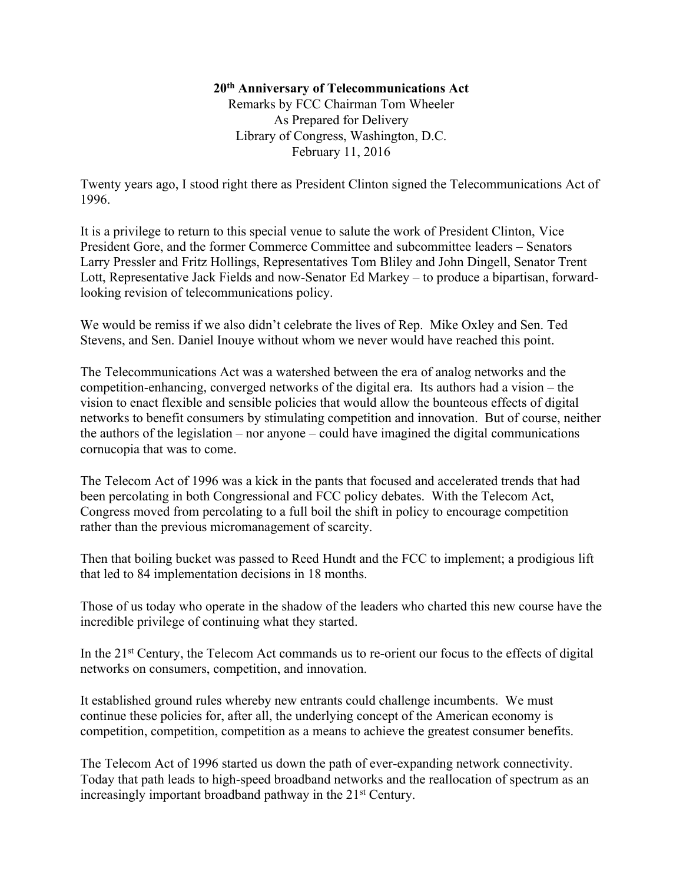## **20th Anniversary of Telecommunications Act**

Remarks by FCC Chairman Tom Wheeler As Prepared for Delivery Library of Congress, Washington, D.C. February 11, 2016

Twenty years ago, I stood right there as President Clinton signed the Telecommunications Act of 1996.

It is a privilege to return to this special venue to salute the work of President Clinton, Vice President Gore, and the former Commerce Committee and subcommittee leaders – Senators Larry Pressler and Fritz Hollings, Representatives Tom Bliley and John Dingell, Senator Trent Lott, Representative Jack Fields and now-Senator Ed Markey – to produce a bipartisan, forwardlooking revision of telecommunications policy.

We would be remiss if we also didn't celebrate the lives of Rep. Mike Oxley and Sen. Ted Stevens, and Sen. Daniel Inouye without whom we never would have reached this point.

The Telecommunications Act was a watershed between the era of analog networks and the competition-enhancing, converged networks of the digital era. Its authors had a vision – the vision to enact flexible and sensible policies that would allow the bounteous effects of digital networks to benefit consumers by stimulating competition and innovation. But of course, neither the authors of the legislation – nor anyone – could have imagined the digital communications cornucopia that was to come.

The Telecom Act of 1996 was a kick in the pants that focused and accelerated trends that had been percolating in both Congressional and FCC policy debates. With the Telecom Act, Congress moved from percolating to a full boil the shift in policy to encourage competition rather than the previous micromanagement of scarcity.

Then that boiling bucket was passed to Reed Hundt and the FCC to implement; a prodigious lift that led to 84 implementation decisions in 18 months.

Those of us today who operate in the shadow of the leaders who charted this new course have the incredible privilege of continuing what they started.

In the 21st Century, the Telecom Act commands us to re-orient our focus to the effects of digital networks on consumers, competition, and innovation.

It established ground rules whereby new entrants could challenge incumbents. We must continue these policies for, after all, the underlying concept of the American economy is competition, competition, competition as a means to achieve the greatest consumer benefits.

The Telecom Act of 1996 started us down the path of ever-expanding network connectivity. Today that path leads to high-speed broadband networks and the reallocation of spectrum as an increasingly important broadband pathway in the 21<sup>st</sup> Century.